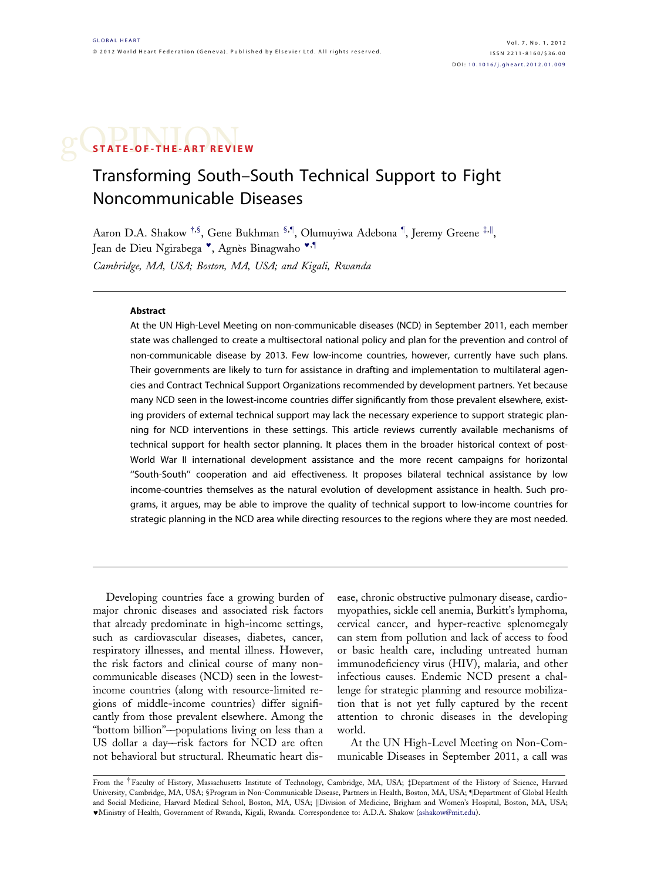# STATE-OF-THE-ART REVIEW

# Transforming South–South Technical Support to Fight Noncommunicable Diseases

Aaron D.A. Shakow †,§, Gene Bukhman <sup>§,¶</sup>, Olumuyiwa Adebona ¶, Jeremy Greene ‡,∥, Jean de Dieu Ngirabega <sup>\*</sup>, Agnès Binagwaho \*, Cambridge, MA, USA; Boston, MA, USA; and Kigali, Rwanda

### Abstract

At the UN High-Level Meeting on non-communicable diseases (NCD) in September 2011, each member state was challenged to create a multisectoral national policy and plan for the prevention and control of non-communicable disease by 2013. Few low-income countries, however, currently have such plans. Their governments are likely to turn for assistance in drafting and implementation to multilateral agencies and Contract Technical Support Organizations recommended by development partners. Yet because many NCD seen in the lowest-income countries differ significantly from those prevalent elsewhere, existing providers of external technical support may lack the necessary experience to support strategic planning for NCD interventions in these settings. This article reviews currently available mechanisms of technical support for health sector planning. It places them in the broader historical context of post-World War II international development assistance and the more recent campaigns for horizontal ''South-South'' cooperation and aid effectiveness. It proposes bilateral technical assistance by low income-countries themselves as the natural evolution of development assistance in health. Such programs, it argues, may be able to improve the quality of technical support to low-income countries for strategic planning in the NCD area while directing resources to the regions where they are most needed.

Developing countries face a growing burden of major chronic diseases and associated risk factors that already predominate in high-income settings, such as cardiovascular diseases, diabetes, cancer, respiratory illnesses, and mental illness. However, the risk factors and clinical course of many noncommunicable diseases (NCD) seen in the lowestincome countries (along with resource-limited regions of middle-income countries) differ significantly from those prevalent elsewhere. Among the ''bottom billion''––populations living on less than a US dollar a day––risk factors for NCD are often not behavioral but structural. Rheumatic heart disease, chronic obstructive pulmonary disease, cardiomyopathies, sickle cell anemia, Burkitt's lymphoma, cervical cancer, and hyper-reactive splenomegaly can stem from pollution and lack of access to food or basic health care, including untreated human immunodeficiency virus (HIV), malaria, and other infectious causes. Endemic NCD present a challenge for strategic planning and resource mobilization that is not yet fully captured by the recent attention to chronic diseases in the developing world.

At the UN High-Level Meeting on Non-Communicable Diseases in September 2011, a call was

From the <sup>†</sup>Faculty of History, Massachusetts Institute of Technology, Cambridge, MA, USA; ‡Department of the History of Science, Harvard University, Cambridge, MA, USA; §Program in Non-Communicable Disease, Partners in Health, Boston, MA, USA; ¶Department of Global Health and Social Medicine, Harvard Medical School, Boston, MA, USA; ||Division of Medicine, Brigham and Women's Hospital, Boston, MA, USA; 'Ministry of Health, Government of Rwanda, Kigali, Rwanda. Correspondence to: A.D.A. Shakow ([ashakow@mit.edu\)](mailto:ashakow@mit.edu).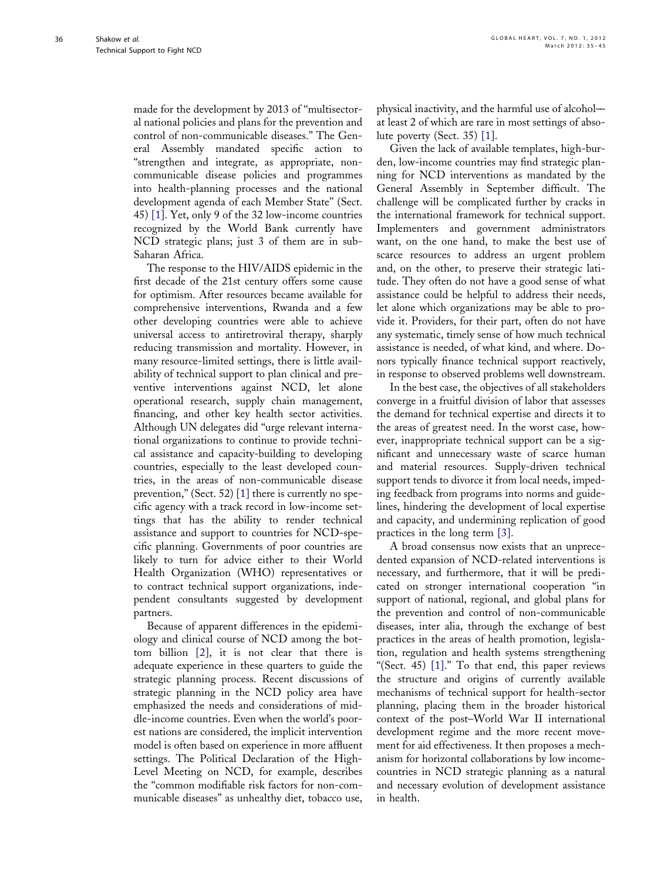made for the development by 2013 of ''multisectoral national policies and plans for the prevention and control of non-communicable diseases.'' The General Assembly mandated specific action to ''strengthen and integrate, as appropriate, noncommunicable disease policies and programmes into health-planning processes and the national development agenda of each Member State'' (Sect. 45) [\[1\].](#page-9-0) Yet, only 9 of the 32 low-income countries recognized by the World Bank currently have NCD strategic plans; just 3 of them are in sub-Saharan Africa.

The response to the HIV/AIDS epidemic in the first decade of the 21st century offers some cause for optimism. After resources became available for comprehensive interventions, Rwanda and a few other developing countries were able to achieve universal access to antiretroviral therapy, sharply reducing transmission and mortality. However, in many resource-limited settings, there is little availability of technical support to plan clinical and preventive interventions against NCD, let alone operational research, supply chain management, financing, and other key health sector activities. Although UN delegates did ''urge relevant international organizations to continue to provide technical assistance and capacity-building to developing countries, especially to the least developed countries, in the areas of non-communicable disease prevention," (Sect. 52) [\[1\]](#page-9-0) there is currently no specific agency with a track record in low-income settings that has the ability to render technical assistance and support to countries for NCD-specific planning. Governments of poor countries are likely to turn for advice either to their World Health Organization (WHO) representatives or to contract technical support organizations, independent consultants suggested by development partners.

Because of apparent differences in the epidemiology and clinical course of NCD among the bottom billion [\[2\],](#page-9-0) it is not clear that there is adequate experience in these quarters to guide the strategic planning process. Recent discussions of strategic planning in the NCD policy area have emphasized the needs and considerations of middle-income countries. Even when the world's poorest nations are considered, the implicit intervention model is often based on experience in more affluent settings. The Political Declaration of the High-Level Meeting on NCD, for example, describes the ''common modifiable risk factors for non-communicable diseases'' as unhealthy diet, tobacco use,

physical inactivity, and the harmful use of alcohol–– at least 2 of which are rare in most settings of absolute poverty (Sect. 35) [\[1\].](#page-9-0)

Given the lack of available templates, high-burden, low-income countries may find strategic planning for NCD interventions as mandated by the General Assembly in September difficult. The challenge will be complicated further by cracks in the international framework for technical support. Implementers and government administrators want, on the one hand, to make the best use of scarce resources to address an urgent problem and, on the other, to preserve their strategic latitude. They often do not have a good sense of what assistance could be helpful to address their needs, let alone which organizations may be able to provide it. Providers, for their part, often do not have any systematic, timely sense of how much technical assistance is needed, of what kind, and where. Donors typically finance technical support reactively, in response to observed problems well downstream.

In the best case, the objectives of all stakeholders converge in a fruitful division of labor that assesses the demand for technical expertise and directs it to the areas of greatest need. In the worst case, however, inappropriate technical support can be a significant and unnecessary waste of scarce human and material resources. Supply-driven technical support tends to divorce it from local needs, impeding feedback from programs into norms and guidelines, hindering the development of local expertise and capacity, and undermining replication of good practices in the long term [\[3\]](#page-9-0).

A broad consensus now exists that an unprecedented expansion of NCD-related interventions is necessary, and furthermore, that it will be predicated on stronger international cooperation ''in support of national, regional, and global plans for the prevention and control of non-communicable diseases, inter alia, through the exchange of best practices in the areas of health promotion, legislation, regulation and health systems strengthening "(Sect. 45)  $[1]$ ." To that end, this paper reviews the structure and origins of currently available mechanisms of technical support for health-sector planning, placing them in the broader historical context of the post–World War II international development regime and the more recent movement for aid effectiveness. It then proposes a mechanism for horizontal collaborations by low incomecountries in NCD strategic planning as a natural and necessary evolution of development assistance in health.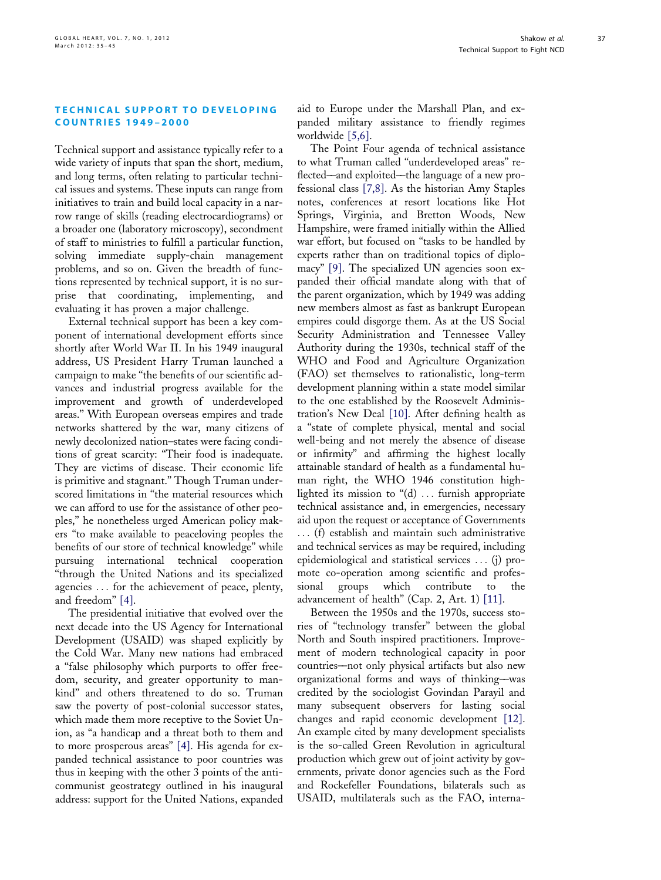## TECHNICAL SUPPORT TO DEVELOPING COUNTRIES 1949–2000

Technical support and assistance typically refer to a wide variety of inputs that span the short, medium, and long terms, often relating to particular technical issues and systems. These inputs can range from initiatives to train and build local capacity in a narrow range of skills (reading electrocardiograms) or a broader one (laboratory microscopy), secondment of staff to ministries to fulfill a particular function, solving immediate supply-chain management problems, and so on. Given the breadth of functions represented by technical support, it is no surprise that coordinating, implementing, and evaluating it has proven a major challenge.

External technical support has been a key component of international development efforts since shortly after World War II. In his 1949 inaugural address, US President Harry Truman launched a campaign to make ''the benefits of our scientific advances and industrial progress available for the improvement and growth of underdeveloped areas.'' With European overseas empires and trade networks shattered by the war, many citizens of newly decolonized nation–states were facing conditions of great scarcity: ''Their food is inadequate. They are victims of disease. Their economic life is primitive and stagnant.'' Though Truman underscored limitations in ''the material resources which we can afford to use for the assistance of other peoples,'' he nonetheless urged American policy makers ''to make available to peaceloving peoples the benefits of our store of technical knowledge'' while pursuing international technical cooperation ''through the United Nations and its specialized agencies ... for the achievement of peace, plenty, and freedom'' [\[4\]](#page-9-0).

The presidential initiative that evolved over the next decade into the US Agency for International Development (USAID) was shaped explicitly by the Cold War. Many new nations had embraced a ''false philosophy which purports to offer freedom, security, and greater opportunity to mankind'' and others threatened to do so. Truman saw the poverty of post-colonial successor states, which made them more receptive to the Soviet Union, as ''a handicap and a threat both to them and to more prosperous areas'' [\[4\]](#page-9-0). His agenda for expanded technical assistance to poor countries was thus in keeping with the other 3 points of the anticommunist geostrategy outlined in his inaugural address: support for the United Nations, expanded

aid to Europe under the Marshall Plan, and expanded military assistance to friendly regimes worldwide [\[5,6\].](#page-9-0)

The Point Four agenda of technical assistance to what Truman called ''underdeveloped areas'' reflected––and exploited––the language of a new professional class [\[7,8\].](#page-9-0) As the historian Amy Staples notes, conferences at resort locations like Hot Springs, Virginia, and Bretton Woods, New Hampshire, were framed initially within the Allied war effort, but focused on "tasks to be handled by experts rather than on traditional topics of diplomacy'' [\[9\]](#page-9-0). The specialized UN agencies soon expanded their official mandate along with that of the parent organization, which by 1949 was adding new members almost as fast as bankrupt European empires could disgorge them. As at the US Social Security Administration and Tennessee Valley Authority during the 1930s, technical staff of the WHO and Food and Agriculture Organization (FAO) set themselves to rationalistic, long-term development planning within a state model similar to the one established by the Roosevelt Administration's New Deal [\[10\].](#page-9-0) After defining health as a ''state of complete physical, mental and social well-being and not merely the absence of disease or infirmity'' and affirming the highest locally attainable standard of health as a fundamental human right, the WHO 1946 constitution highlighted its mission to  $\degree$ (d) ... furnish appropriate technical assistance and, in emergencies, necessary aid upon the request or acceptance of Governments ... (f) establish and maintain such administrative and technical services as may be required, including epidemiological and statistical services ... (j) promote co-operation among scientific and professional groups which contribute to the advancement of health'' (Cap. 2, Art. 1) [\[11\].](#page-9-0)

Between the 1950s and the 1970s, success stories of ''technology transfer'' between the global North and South inspired practitioners. Improvement of modern technological capacity in poor countries––not only physical artifacts but also new organizational forms and ways of thinking––was credited by the sociologist Govindan Parayil and many subsequent observers for lasting social changes and rapid economic development [\[12\].](#page-9-0) An example cited by many development specialists is the so-called Green Revolution in agricultural production which grew out of joint activity by governments, private donor agencies such as the Ford and Rockefeller Foundations, bilaterals such as USAID, multilaterals such as the FAO, interna-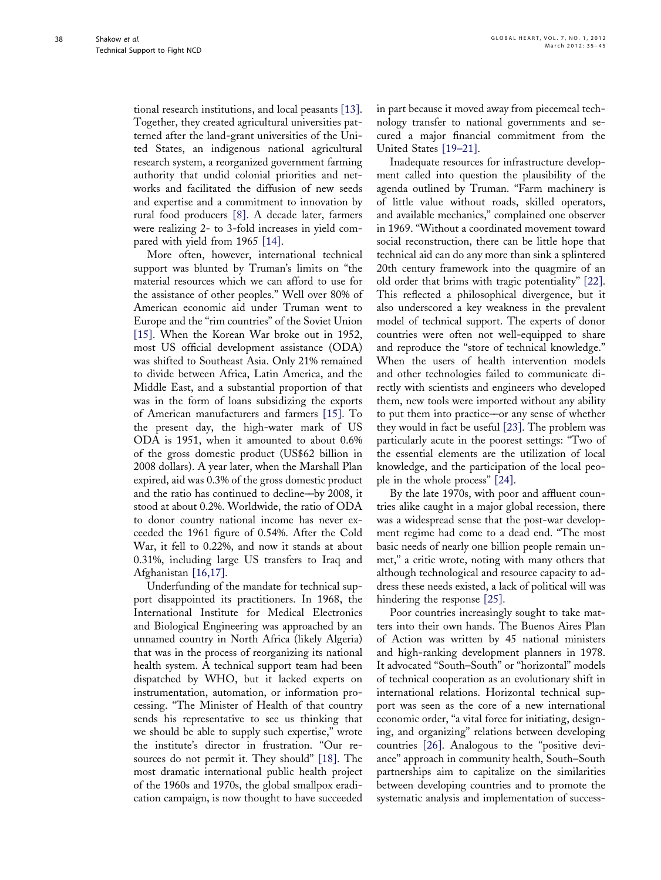tional research institutions, and local peasants [\[13\]](#page-9-0). Together, they created agricultural universities patterned after the land-grant universities of the United States, an indigenous national agricultural research system, a reorganized government farming authority that undid colonial priorities and networks and facilitated the diffusion of new seeds and expertise and a commitment to innovation by rural food producers [\[8\].](#page-9-0) A decade later, farmers were realizing 2- to 3-fold increases in yield compared with yield from 1965 [\[14\]](#page-9-0).

More often, however, international technical support was blunted by Truman's limits on "the material resources which we can afford to use for the assistance of other peoples.'' Well over 80% of American economic aid under Truman went to Europe and the "rim countries" of the Soviet Union [\[15\].](#page-9-0) When the Korean War broke out in 1952, most US official development assistance (ODA) was shifted to Southeast Asia. Only 21% remained to divide between Africa, Latin America, and the Middle East, and a substantial proportion of that was in the form of loans subsidizing the exports of American manufacturers and farmers [\[15\]](#page-9-0). To the present day, the high-water mark of US ODA is 1951, when it amounted to about 0.6% of the gross domestic product (US\$62 billion in 2008 dollars). A year later, when the Marshall Plan expired, aid was 0.3% of the gross domestic product and the ratio has continued to decline––by 2008, it stood at about 0.2%. Worldwide, the ratio of ODA to donor country national income has never exceeded the 1961 figure of 0.54%. After the Cold War, it fell to 0.22%, and now it stands at about 0.31%, including large US transfers to Iraq and Afghanistan [\[16,17\].](#page-9-0)

Underfunding of the mandate for technical support disappointed its practitioners. In 1968, the International Institute for Medical Electronics and Biological Engineering was approached by an unnamed country in North Africa (likely Algeria) that was in the process of reorganizing its national health system. A technical support team had been dispatched by WHO, but it lacked experts on instrumentation, automation, or information processing. ''The Minister of Health of that country sends his representative to see us thinking that we should be able to supply such expertise,'' wrote the institute's director in frustration. ''Our resources do not permit it. They should'' [\[18\].](#page-9-0) The most dramatic international public health project of the 1960s and 1970s, the global smallpox eradication campaign, is now thought to have succeeded in part because it moved away from piecemeal technology transfer to national governments and secured a major financial commitment from the United States [\[19–21\]](#page-9-0).

Inadequate resources for infrastructure development called into question the plausibility of the agenda outlined by Truman. "Farm machinery is of little value without roads, skilled operators, and available mechanics,'' complained one observer in 1969. ''Without a coordinated movement toward social reconstruction, there can be little hope that technical aid can do any more than sink a splintered 20th century framework into the quagmire of an old order that brims with tragic potentiality'' [\[22\]](#page-9-0). This reflected a philosophical divergence, but it also underscored a key weakness in the prevalent model of technical support. The experts of donor countries were often not well-equipped to share and reproduce the ''store of technical knowledge.'' When the users of health intervention models and other technologies failed to communicate directly with scientists and engineers who developed them, new tools were imported without any ability to put them into practice––or any sense of whether they would in fact be useful [\[23\]](#page-9-0). The problem was particularly acute in the poorest settings: ''Two of the essential elements are the utilization of local knowledge, and the participation of the local people in the whole process'' [\[24\].](#page-9-0)

By the late 1970s, with poor and affluent countries alike caught in a major global recession, there was a widespread sense that the post-war development regime had come to a dead end. ''The most basic needs of nearly one billion people remain unmet,'' a critic wrote, noting with many others that although technological and resource capacity to address these needs existed, a lack of political will was hindering the response [\[25\]](#page-9-0).

Poor countries increasingly sought to take matters into their own hands. The Buenos Aires Plan of Action was written by 45 national ministers and high-ranking development planners in 1978. It advocated ''South–South'' or ''horizontal'' models of technical cooperation as an evolutionary shift in international relations. Horizontal technical support was seen as the core of a new international economic order, ''a vital force for initiating, designing, and organizing'' relations between developing countries [\[26\]](#page-9-0). Analogous to the ''positive deviance'' approach in community health, South–South partnerships aim to capitalize on the similarities between developing countries and to promote the systematic analysis and implementation of success-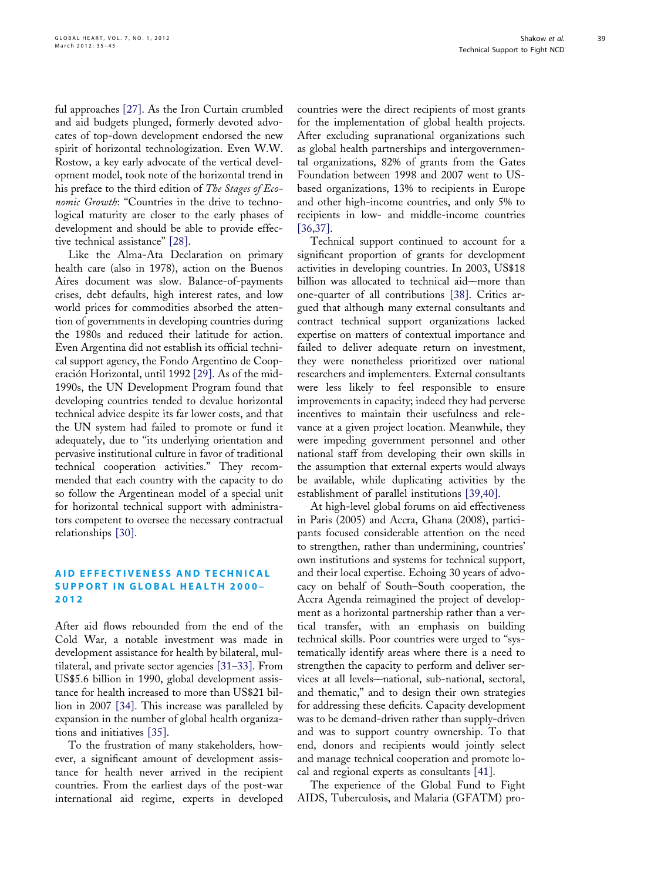39

ful approaches [\[27\].](#page-9-0) As the Iron Curtain crumbled and aid budgets plunged, formerly devoted advocates of top-down development endorsed the new spirit of horizontal technologization. Even W.W. Rostow, a key early advocate of the vertical development model, took note of the horizontal trend in his preface to the third edition of The Stages of Economic Growth: "Countries in the drive to technological maturity are closer to the early phases of development and should be able to provide effective technical assistance'' [\[28\]](#page-9-0).

Like the Alma-Ata Declaration on primary health care (also in 1978), action on the Buenos Aires document was slow. Balance-of-payments crises, debt defaults, high interest rates, and low world prices for commodities absorbed the attention of governments in developing countries during the 1980s and reduced their latitude for action. Even Argentina did not establish its official technical support agency, the Fondo Argentino de Coop-eración Horizontal, until 1992 [\[29\]](#page-9-0). As of the mid-1990s, the UN Development Program found that developing countries tended to devalue horizontal technical advice despite its far lower costs, and that the UN system had failed to promote or fund it adequately, due to "its underlying orientation and pervasive institutional culture in favor of traditional technical cooperation activities.'' They recommended that each country with the capacity to do so follow the Argentinean model of a special unit for horizontal technical support with administrators competent to oversee the necessary contractual relationships [\[30\]](#page-9-0).

#### AID EFFECTIVENESS AND TECHNICAL SUPPORT IN GLOBAL HEALTH 2000– 2012

After aid flows rebounded from the end of the Cold War, a notable investment was made in development assistance for health by bilateral, multilateral, and private sector agencies [\[31–33\].](#page-9-0) From US\$5.6 billion in 1990, global development assistance for health increased to more than US\$21 billion in 2007 [\[34\]](#page-9-0). This increase was paralleled by expansion in the number of global health organizations and initiatives [\[35\]](#page-9-0).

To the frustration of many stakeholders, however, a significant amount of development assistance for health never arrived in the recipient countries. From the earliest days of the post-war international aid regime, experts in developed countries were the direct recipients of most grants for the implementation of global health projects. After excluding supranational organizations such as global health partnerships and intergovernmental organizations, 82% of grants from the Gates Foundation between 1998 and 2007 went to USbased organizations, 13% to recipients in Europe and other high-income countries, and only 5% to recipients in low- and middle-income countries [\[36,37\]](#page-9-0).

Technical support continued to account for a significant proportion of grants for development activities in developing countries. In 2003, US\$18 billion was allocated to technical aid––more than one-quarter of all contributions [\[38\].](#page-10-0) Critics argued that although many external consultants and contract technical support organizations lacked expertise on matters of contextual importance and failed to deliver adequate return on investment, they were nonetheless prioritized over national researchers and implementers. External consultants were less likely to feel responsible to ensure improvements in capacity; indeed they had perverse incentives to maintain their usefulness and relevance at a given project location. Meanwhile, they were impeding government personnel and other national staff from developing their own skills in the assumption that external experts would always be available, while duplicating activities by the establishment of parallel institutions [\[39,40\].](#page-10-0)

At high-level global forums on aid effectiveness in Paris (2005) and Accra, Ghana (2008), participants focused considerable attention on the need to strengthen, rather than undermining, countries' own institutions and systems for technical support, and their local expertise. Echoing 30 years of advocacy on behalf of South–South cooperation, the Accra Agenda reimagined the project of development as a horizontal partnership rather than a vertical transfer, with an emphasis on building technical skills. Poor countries were urged to ''systematically identify areas where there is a need to strengthen the capacity to perform and deliver services at all levels––national, sub-national, sectoral, and thematic,'' and to design their own strategies for addressing these deficits. Capacity development was to be demand-driven rather than supply-driven and was to support country ownership. To that end, donors and recipients would jointly select and manage technical cooperation and promote local and regional experts as consultants [\[41\]](#page-10-0).

The experience of the Global Fund to Fight AIDS, Tuberculosis, and Malaria (GFATM) pro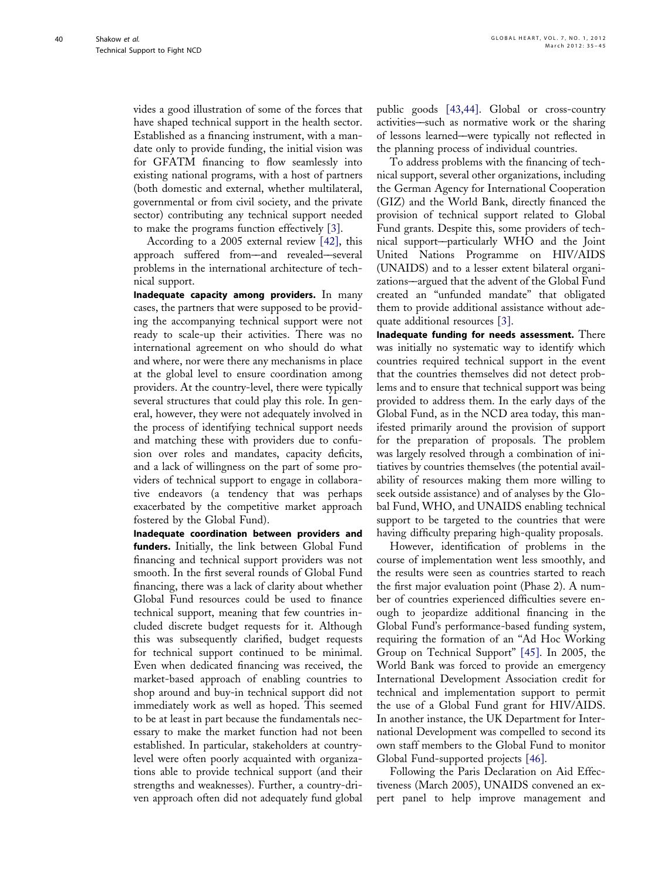vides a good illustration of some of the forces that have shaped technical support in the health sector. Established as a financing instrument, with a mandate only to provide funding, the initial vision was for GFATM financing to flow seamlessly into existing national programs, with a host of partners (both domestic and external, whether multilateral, governmental or from civil society, and the private sector) contributing any technical support needed to make the programs function effectively [\[3\].](#page-9-0)

According to a 2005 external review [\[42\]](#page-10-0), this approach suffered from--and revealed--several problems in the international architecture of technical support.

Inadequate capacity among providers. In many cases, the partners that were supposed to be providing the accompanying technical support were not ready to scale-up their activities. There was no international agreement on who should do what and where, nor were there any mechanisms in place at the global level to ensure coordination among providers. At the country-level, there were typically several structures that could play this role. In general, however, they were not adequately involved in the process of identifying technical support needs and matching these with providers due to confusion over roles and mandates, capacity deficits, and a lack of willingness on the part of some providers of technical support to engage in collaborative endeavors (a tendency that was perhaps exacerbated by the competitive market approach fostered by the Global Fund).

Inadequate coordination between providers and funders. Initially, the link between Global Fund financing and technical support providers was not smooth. In the first several rounds of Global Fund financing, there was a lack of clarity about whether Global Fund resources could be used to finance technical support, meaning that few countries included discrete budget requests for it. Although this was subsequently clarified, budget requests for technical support continued to be minimal. Even when dedicated financing was received, the market-based approach of enabling countries to shop around and buy-in technical support did not immediately work as well as hoped. This seemed to be at least in part because the fundamentals necessary to make the market function had not been established. In particular, stakeholders at countrylevel were often poorly acquainted with organizations able to provide technical support (and their strengths and weaknesses). Further, a country-driven approach often did not adequately fund global public goods [\[43,44\].](#page-10-0) Global or cross-country activities––such as normative work or the sharing of lessons learned––were typically not reflected in the planning process of individual countries.

To address problems with the financing of technical support, several other organizations, including the German Agency for International Cooperation (GIZ) and the World Bank, directly financed the provision of technical support related to Global Fund grants. Despite this, some providers of technical support––particularly WHO and the Joint United Nations Programme on HIV/AIDS (UNAIDS) and to a lesser extent bilateral organizations––argued that the advent of the Global Fund created an ''unfunded mandate'' that obligated them to provide additional assistance without adequate additional resources [\[3\].](#page-9-0)

Inadequate funding for needs assessment. There was initially no systematic way to identify which countries required technical support in the event that the countries themselves did not detect problems and to ensure that technical support was being provided to address them. In the early days of the Global Fund, as in the NCD area today, this manifested primarily around the provision of support for the preparation of proposals. The problem was largely resolved through a combination of initiatives by countries themselves (the potential availability of resources making them more willing to seek outside assistance) and of analyses by the Global Fund, WHO, and UNAIDS enabling technical support to be targeted to the countries that were having difficulty preparing high-quality proposals.

However, identification of problems in the course of implementation went less smoothly, and the results were seen as countries started to reach the first major evaluation point (Phase 2). A number of countries experienced difficulties severe enough to jeopardize additional financing in the Global Fund's performance-based funding system, requiring the formation of an ''Ad Hoc Working Group on Technical Support'' [\[45\]](#page-10-0). In 2005, the World Bank was forced to provide an emergency International Development Association credit for technical and implementation support to permit the use of a Global Fund grant for HIV/AIDS. In another instance, the UK Department for International Development was compelled to second its own staff members to the Global Fund to monitor Global Fund-supported projects [\[46\].](#page-10-0)

Following the Paris Declaration on Aid Effectiveness (March 2005), UNAIDS convened an expert panel to help improve management and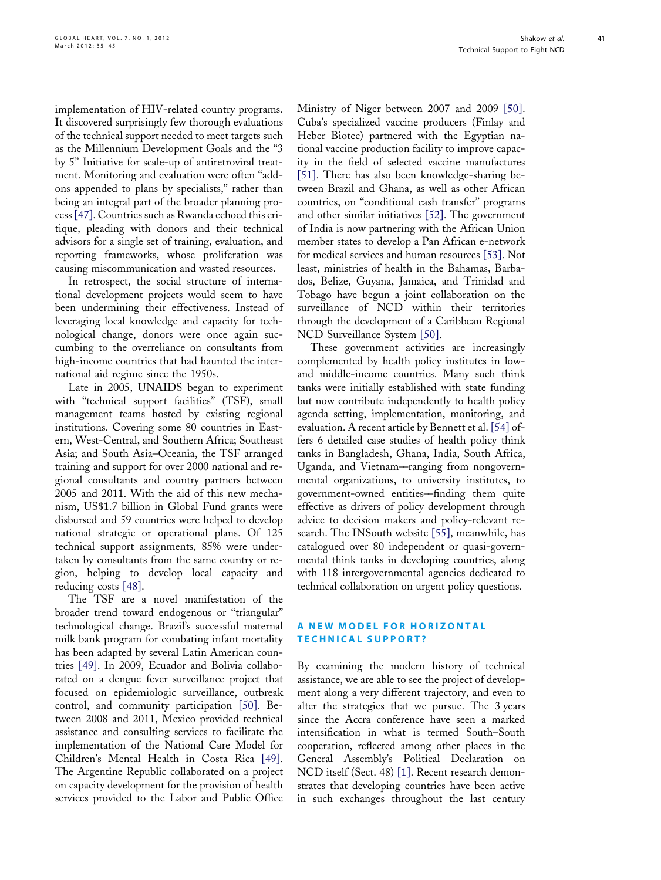implementation of HIV-related country programs. It discovered surprisingly few thorough evaluations of the technical support needed to meet targets such as the Millennium Development Goals and the ''3 by 5'' Initiative for scale-up of antiretroviral treatment. Monitoring and evaluation were often ''addons appended to plans by specialists,'' rather than being an integral part of the broader planning process [\[47\].](#page-10-0) Countries such as Rwanda echoed this critique, pleading with donors and their technical advisors for a single set of training, evaluation, and reporting frameworks, whose proliferation was causing miscommunication and wasted resources.

In retrospect, the social structure of international development projects would seem to have been undermining their effectiveness. Instead of leveraging local knowledge and capacity for technological change, donors were once again succumbing to the overreliance on consultants from high-income countries that had haunted the international aid regime since the 1950s.

Late in 2005, UNAIDS began to experiment with "technical support facilities" (TSF), small management teams hosted by existing regional institutions. Covering some 80 countries in Eastern, West-Central, and Southern Africa; Southeast Asia; and South Asia–Oceania, the TSF arranged training and support for over 2000 national and regional consultants and country partners between 2005 and 2011. With the aid of this new mechanism, US\$1.7 billion in Global Fund grants were disbursed and 59 countries were helped to develop national strategic or operational plans. Of 125 technical support assignments, 85% were undertaken by consultants from the same country or region, helping to develop local capacity and reducing costs [\[48\].](#page-10-0)

The TSF are a novel manifestation of the broader trend toward endogenous or ''triangular'' technological change. Brazil's successful maternal milk bank program for combating infant mortality has been adapted by several Latin American countries [\[49\].](#page-10-0) In 2009, Ecuador and Bolivia collaborated on a dengue fever surveillance project that focused on epidemiologic surveillance, outbreak control, and community participation [\[50\]](#page-10-0). Between 2008 and 2011, Mexico provided technical assistance and consulting services to facilitate the implementation of the National Care Model for Children's Mental Health in Costa Rica [\[49\].](#page-10-0) The Argentine Republic collaborated on a project on capacity development for the provision of health services provided to the Labor and Public Office Ministry of Niger between 2007 and 2009 [\[50\].](#page-10-0) Cuba's specialized vaccine producers (Finlay and Heber Biotec) partnered with the Egyptian national vaccine production facility to improve capacity in the field of selected vaccine manufactures [\[51\].](#page-10-0) There has also been knowledge-sharing between Brazil and Ghana, as well as other African countries, on ''conditional cash transfer'' programs and other similar initiatives [\[52\].](#page-10-0) The government of India is now partnering with the African Union member states to develop a Pan African e-network for medical services and human resources [\[53\]](#page-10-0). Not least, ministries of health in the Bahamas, Barbados, Belize, Guyana, Jamaica, and Trinidad and Tobago have begun a joint collaboration on the surveillance of NCD within their territories through the development of a Caribbean Regional NCD Surveillance System [\[50\].](#page-10-0)

These government activities are increasingly complemented by health policy institutes in lowand middle-income countries. Many such think tanks were initially established with state funding but now contribute independently to health policy agenda setting, implementation, monitoring, and evaluation. A recent article by Bennett et al. [\[54\]](#page-10-0) offers 6 detailed case studies of health policy think tanks in Bangladesh, Ghana, India, South Africa, Uganda, and Vietnam––ranging from nongovernmental organizations, to university institutes, to government-owned entities––finding them quite effective as drivers of policy development through advice to decision makers and policy-relevant research. The INSouth website [\[55\],](#page-10-0) meanwhile, has catalogued over 80 independent or quasi-governmental think tanks in developing countries, along with 118 intergovernmental agencies dedicated to technical collaboration on urgent policy questions.

### A NEW MODEL FOR HORIZONTAL TECHNICAL SUPPORT?

By examining the modern history of technical assistance, we are able to see the project of development along a very different trajectory, and even to alter the strategies that we pursue. The 3 years since the Accra conference have seen a marked intensification in what is termed South–South cooperation, reflected among other places in the General Assembly's Political Declaration on NCD itself (Sect. 48) [\[1\]](#page-9-0). Recent research demonstrates that developing countries have been active in such exchanges throughout the last century 41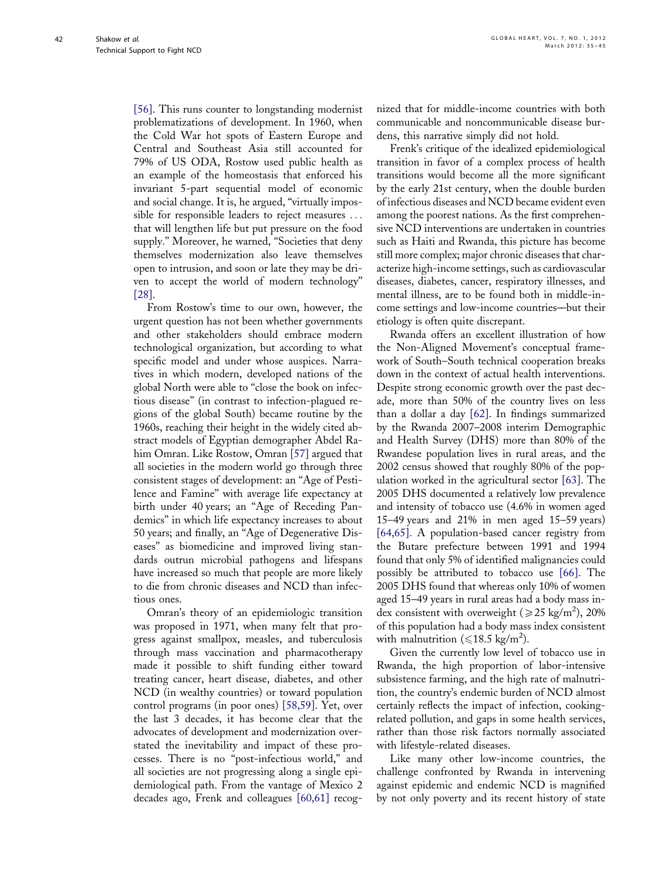[\[56\].](#page-10-0) This runs counter to longstanding modernist problematizations of development. In 1960, when the Cold War hot spots of Eastern Europe and Central and Southeast Asia still accounted for 79% of US ODA, Rostow used public health as an example of the homeostasis that enforced his invariant 5-part sequential model of economic and social change. It is, he argued, "virtually impossible for responsible leaders to reject measures ... that will lengthen life but put pressure on the food supply." Moreover, he warned, "Societies that deny themselves modernization also leave themselves open to intrusion, and soon or late they may be driven to accept the world of modern technology'' [\[28\].](#page-9-0)

From Rostow's time to our own, however, the urgent question has not been whether governments and other stakeholders should embrace modern technological organization, but according to what specific model and under whose auspices. Narratives in which modern, developed nations of the global North were able to ''close the book on infectious disease'' (in contrast to infection-plagued regions of the global South) became routine by the 1960s, reaching their height in the widely cited abstract models of Egyptian demographer Abdel Ra-him Omran. Like Rostow, Omran [\[57\]](#page-10-0) argued that all societies in the modern world go through three consistent stages of development: an ''Age of Pestilence and Famine'' with average life expectancy at birth under 40 years; an "Age of Receding Pandemics'' in which life expectancy increases to about 50 years; and finally, an ''Age of Degenerative Diseases'' as biomedicine and improved living standards outrun microbial pathogens and lifespans have increased so much that people are more likely to die from chronic diseases and NCD than infectious ones.

Omran's theory of an epidemiologic transition was proposed in 1971, when many felt that progress against smallpox, measles, and tuberculosis through mass vaccination and pharmacotherapy made it possible to shift funding either toward treating cancer, heart disease, diabetes, and other NCD (in wealthy countries) or toward population control programs (in poor ones) [\[58,59\].](#page-10-0) Yet, over the last 3 decades, it has become clear that the advocates of development and modernization overstated the inevitability and impact of these processes. There is no ''post-infectious world,'' and all societies are not progressing along a single epidemiological path. From the vantage of Mexico 2 decades ago, Frenk and colleagues [\[60,61\]](#page-10-0) recognized that for middle-income countries with both communicable and noncommunicable disease burdens, this narrative simply did not hold.

Frenk's critique of the idealized epidemiological transition in favor of a complex process of health transitions would become all the more significant by the early 21st century, when the double burden of infectious diseases and NCD became evident even among the poorest nations. As the first comprehensive NCD interventions are undertaken in countries such as Haiti and Rwanda, this picture has become still more complex; major chronic diseases that characterize high-income settings, such as cardiovascular diseases, diabetes, cancer, respiratory illnesses, and mental illness, are to be found both in middle-income settings and low-income countries––but their etiology is often quite discrepant.

Rwanda offers an excellent illustration of how the Non-Aligned Movement's conceptual framework of South–South technical cooperation breaks down in the context of actual health interventions. Despite strong economic growth over the past decade, more than 50% of the country lives on less than a dollar a day [\[62\].](#page-10-0) In findings summarized by the Rwanda 2007–2008 interim Demographic and Health Survey (DHS) more than 80% of the Rwandese population lives in rural areas, and the 2002 census showed that roughly 80% of the population worked in the agricultural sector [\[63\]](#page-10-0). The 2005 DHS documented a relatively low prevalence and intensity of tobacco use (4.6% in women aged 15–49 years and 21% in men aged 15–59 years) [\[64,65\]](#page-10-0). A population-based cancer registry from the Butare prefecture between 1991 and 1994 found that only 5% of identified malignancies could possibly be attributed to tobacco use [\[66\]](#page-10-0). The 2005 DHS found that whereas only 10% of women aged 15–49 years in rural areas had a body mass index consistent with overweight ( $\geq$  25 kg/m<sup>2</sup>), 20% of this population had a body mass index consistent with malnutrition ( $\leq 18.5$  kg/m<sup>2</sup>).

Given the currently low level of tobacco use in Rwanda, the high proportion of labor-intensive subsistence farming, and the high rate of malnutrition, the country's endemic burden of NCD almost certainly reflects the impact of infection, cookingrelated pollution, and gaps in some health services, rather than those risk factors normally associated with lifestyle-related diseases.

Like many other low-income countries, the challenge confronted by Rwanda in intervening against epidemic and endemic NCD is magnified by not only poverty and its recent history of state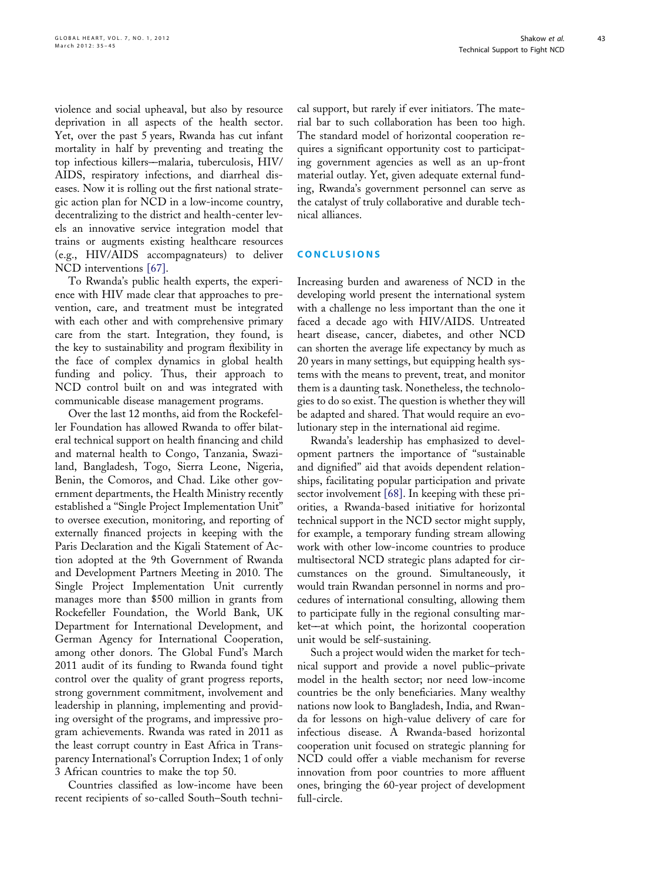43

violence and social upheaval, but also by resource deprivation in all aspects of the health sector. Yet, over the past 5 years, Rwanda has cut infant mortality in half by preventing and treating the top infectious killers––malaria, tuberculosis, HIV/ AIDS, respiratory infections, and diarrheal diseases. Now it is rolling out the first national strategic action plan for NCD in a low-income country, decentralizing to the district and health-center levels an innovative service integration model that trains or augments existing healthcare resources (e.g., HIV/AIDS accompagnateurs) to deliver NCD interventions [\[67\]](#page-10-0).

To Rwanda's public health experts, the experience with HIV made clear that approaches to prevention, care, and treatment must be integrated with each other and with comprehensive primary care from the start. Integration, they found, is the key to sustainability and program flexibility in the face of complex dynamics in global health funding and policy. Thus, their approach to NCD control built on and was integrated with communicable disease management programs.

Over the last 12 months, aid from the Rockefeller Foundation has allowed Rwanda to offer bilateral technical support on health financing and child and maternal health to Congo, Tanzania, Swaziland, Bangladesh, Togo, Sierra Leone, Nigeria, Benin, the Comoros, and Chad. Like other government departments, the Health Ministry recently established a ''Single Project Implementation Unit'' to oversee execution, monitoring, and reporting of externally financed projects in keeping with the Paris Declaration and the Kigali Statement of Action adopted at the 9th Government of Rwanda and Development Partners Meeting in 2010. The Single Project Implementation Unit currently manages more than \$500 million in grants from Rockefeller Foundation, the World Bank, UK Department for International Development, and German Agency for International Cooperation, among other donors. The Global Fund's March 2011 audit of its funding to Rwanda found tight control over the quality of grant progress reports, strong government commitment, involvement and leadership in planning, implementing and providing oversight of the programs, and impressive program achievements. Rwanda was rated in 2011 as the least corrupt country in East Africa in Transparency International's Corruption Index; 1 of only 3 African countries to make the top 50.

Countries classified as low-income have been recent recipients of so-called South–South technical support, but rarely if ever initiators. The material bar to such collaboration has been too high. The standard model of horizontal cooperation requires a significant opportunity cost to participating government agencies as well as an up-front material outlay. Yet, given adequate external funding, Rwanda's government personnel can serve as the catalyst of truly collaborative and durable technical alliances.

#### **CONCLUSIONS**

Increasing burden and awareness of NCD in the developing world present the international system with a challenge no less important than the one it faced a decade ago with HIV/AIDS. Untreated heart disease, cancer, diabetes, and other NCD can shorten the average life expectancy by much as 20 years in many settings, but equipping health systems with the means to prevent, treat, and monitor them is a daunting task. Nonetheless, the technologies to do so exist. The question is whether they will be adapted and shared. That would require an evolutionary step in the international aid regime.

Rwanda's leadership has emphasized to development partners the importance of ''sustainable and dignified'' aid that avoids dependent relationships, facilitating popular participation and private sector involvement [\[68\]](#page-10-0). In keeping with these priorities, a Rwanda-based initiative for horizontal technical support in the NCD sector might supply, for example, a temporary funding stream allowing work with other low-income countries to produce multisectoral NCD strategic plans adapted for circumstances on the ground. Simultaneously, it would train Rwandan personnel in norms and procedures of international consulting, allowing them to participate fully in the regional consulting market––at which point, the horizontal cooperation unit would be self-sustaining.

Such a project would widen the market for technical support and provide a novel public–private model in the health sector; nor need low-income countries be the only beneficiaries. Many wealthy nations now look to Bangladesh, India, and Rwanda for lessons on high-value delivery of care for infectious disease. A Rwanda-based horizontal cooperation unit focused on strategic planning for NCD could offer a viable mechanism for reverse innovation from poor countries to more affluent ones, bringing the 60-year project of development full-circle.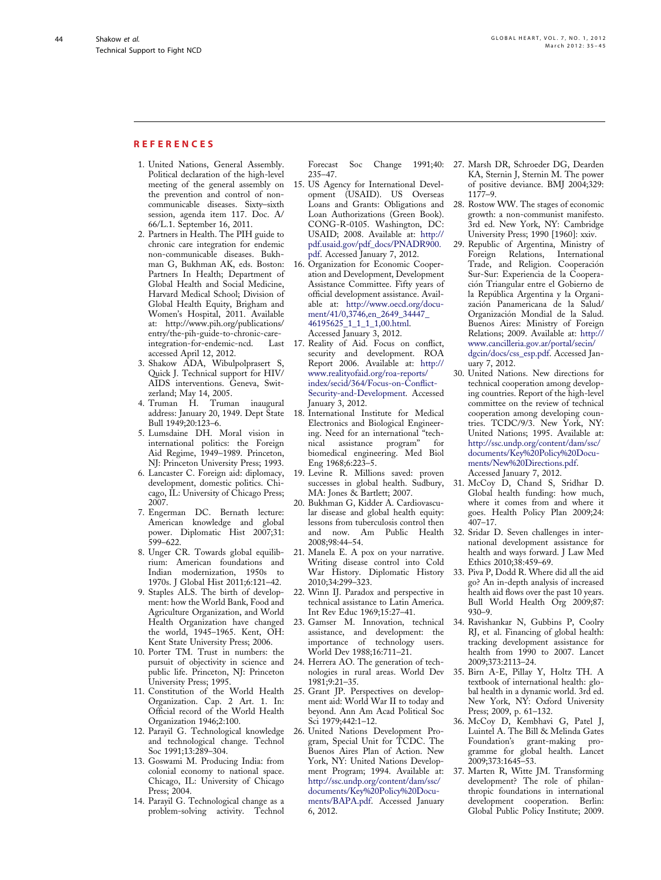#### <span id="page-9-0"></span>**REFERENCES**

- 1. United Nations, General Assembly. Political declaration of the high-level meeting of the general assembly on the prevention and control of noncommunicable diseases. Sixty–sixth session, agenda item 117. Doc. A/ 66/L.1. September 16, 2011.
- 2. Partners in Health. The PIH guide to chronic care integration for endemic non-communicable diseases. Bukhman G, Bukhman AK, eds. Boston: Partners In Health; Department of Global Health and Social Medicine, Harvard Medical School; Division of Global Health Equity, Brigham and Women's Hospital, 2011. Available at: http://www.pih.org/publications/ entry/the-pih-guide-to-chronic-careintegration-for-endemic-ncd. accessed April 12, 2012.
- 3. Shakow ADA, Wibulpolprasert S, Quick J. Technical support for HIV/ AIDS interventions. Geneva, Switzerland; May 14, 2005.
- 4. Truman H. Truman inaugural address: January 20, 1949. Dept State Bull 1949;20:123–6.
- 5. Lumsdaine DH. Moral vision in international politics: the Foreign Aid Regime, 1949–1989. Princeton, NJ: Princeton University Press; 1993.
- 6. Lancaster C. Foreign aid: diplomacy, development, domestic politics. Chicago, IL: University of Chicago Press; 2007.
- 7. Engerman DC. Bernath lecture: American knowledge and global power. Diplomatic Hist 2007;31: 599–622.
- 8. Unger CR. Towards global equilibrium: American foundations and Indian modernization, 1950s to 1970s. J Global Hist 2011;6:121–42.
- 9. Staples ALS. The birth of development: how the World Bank, Food and Agriculture Organization, and World Health Organization have changed the world, 1945–1965. Kent, OH: Kent State University Press; 2006.
- 10. Porter TM. Trust in numbers: the pursuit of objectivity in science and public life. Princeton, NJ: Princeton University Press; 1995.
- 11. Constitution of the World Health Organization. Cap. 2 Art. 1. In: Official record of the World Health Organization 1946;2:100.
- 12. Parayil G. Technological knowledge and technological change. Technol Soc 1991;13:289–304.
- 13. Goswami M. Producing India: from colonial economy to national space. Chicago, IL: University of Chicago Press; 2004.
- 14. Parayil G. Technological change as a problem-solving activity. Technol

235–47.

- 15. US Agency for International Development (USAID). US Overseas Loans and Grants: Obligations and Loan Authorizations (Green Book). CONG-R-0105. Washington, DC: USAID; 2008. Available at: [http://](http://pdf.usaid.gov/pdf_docs/PNADR900.pdf) [pdf.usaid.gov/pdf\\_docs/PNADR900.](http://pdf.usaid.gov/pdf_docs/PNADR900.pdf) [pdf](http://pdf.usaid.gov/pdf_docs/PNADR900.pdf). Accessed January 7, 2012.
- 16. Organization for Economic Cooperation and Development, Development Assistance Committee. Fifty years of official development assistance. Available at: [http://www.oecd.org/docu](http://www.oecd.org/document/41/0,3746,en_2649_34447_46195625_1_1_1_1,00.html)[ment/41/0,3746,en\\_2649\\_34447\\_](http://www.oecd.org/document/41/0,3746,en_2649_34447_46195625_1_1_1_1,00.html) [46195625\\_1\\_1\\_1\\_1,00.html.](http://www.oecd.org/document/41/0,3746,en_2649_34447_46195625_1_1_1_1,00.html) Accessed January 3, 2012.
- Last 17. Reality of Aid. Focus on conflict, security and development. ROA Report 2006. Available at: [http://](http://www.realityofaid.org/roa-reports/index/secid/364/Focus-on-Conflict-Security-and-Development) [www.realityofaid.org/roa-reports/](http://www.realityofaid.org/roa-reports/index/secid/364/Focus-on-Conflict-Security-and-Development) [index/secid/364/Focus-on-Conflict-](http://www.realityofaid.org/roa-reports/index/secid/364/Focus-on-Conflict-Security-and-Development)[Security-and-Development](http://www.realityofaid.org/roa-reports/index/secid/364/Focus-on-Conflict-Security-and-Development). Accessed January 3, 2012.
	- 18. International Institute for Medical Electronics and Biological Engineering. Need for an international "technical assistance program'' for biomedical engineering. Med Biol Eng 1968;6:223–5.
	- 19. Levine R. Millions saved: proven successes in global health. Sudbury, MA: Jones & Bartlett; 2007.
	- 20. Bukhman G, Kidder A. Cardiovascular disease and global health equity: lessons from tuberculosis control then and now. Am Public Health 2008;98:44–54.
	- 21. Manela E. A pox on your narrative. Writing disease control into Cold War History. Diplomatic History 2010;34:299–323.
	- 22. Winn IJ. Paradox and perspective in technical assistance to Latin America. Int Rev Educ 1969;15:27–41.
	- 23. Gamser M. Innovation, technical assistance, and development: the importance of technology users. World Dev 1988;16:711-21.
	- 24. Herrera AO. The generation of technologies in rural areas. World Dev 1981;9:21–35.
	- 25. Grant JP. Perspectives on development aid: World War II to today and beyond. Ann Am Acad Political Soc Sci 1979;442:1–12.
	- 26. United Nations Development Program, Special Unit for TCDC. The Buenos Aires Plan of Action. New York, NY: United Nations Development Program; 1994. Available at: [http://ssc.undp.org/content/dam/ssc/](http://ssc.undp.org/content/dam/ssc/documents/Key%20Policy%20Documents/BAPA.pdf) [documents/Key%20Policy%20Docu](http://ssc.undp.org/content/dam/ssc/documents/Key%20Policy%20Documents/BAPA.pdf)[ments/BAPA.pdf](http://ssc.undp.org/content/dam/ssc/documents/Key%20Policy%20Documents/BAPA.pdf). Accessed January 6, 2012.
- Forecast Soc Change 1991;40: 27. Marsh DR, Schroeder DG, Dearden KA, Sternin J, Sternin M. The power of positive deviance. BMJ 2004;329: 1177–9.
	- 28. Rostow WW. The stages of economic growth: a non-communist manifesto. 3rd ed. New York, NY: Cambridge University Press; 1990 [1960]: xxiv.
	- 29. Republic of Argentina, Ministry of Foreign Relations, International Trade, and Religion. Cooperación Sur-Sur: Experiencia de la Cooperacio´n Triangular entre el Gobierno de la República Argentina y la Organización Panamericana de la Salud/ Organización Mondial de la Salud. Buenos Aires: Ministry of Foreign Relations; 2009. Available at: [http://](http://www.cancilleria.gov.ar/portal/secin/dgcin/docs/css_esp.pdf) [www.cancilleria.gov.ar/portal/secin/](http://www.cancilleria.gov.ar/portal/secin/dgcin/docs/css_esp.pdf) [dgcin/docs/css\\_esp.pdf](http://www.cancilleria.gov.ar/portal/secin/dgcin/docs/css_esp.pdf). Accessed January 7, 2012.
	- 30. United Nations. New directions for technical cooperation among developing countries. Report of the high-level committee on the review of technical cooperation among developing countries. TCDC/9/3. New York, NY: United Nations; 1995. Available at: [http://ssc.undp.org/content/dam/ssc/](http://ssc.undp.org/content/dam/ssc/documents/Key%20Policy%20Documents/New%20Directions.pdf) [documents/Key%20Policy%20Docu](http://ssc.undp.org/content/dam/ssc/documents/Key%20Policy%20Documents/New%20Directions.pdf)[ments/New%20Directions.pdf](http://ssc.undp.org/content/dam/ssc/documents/Key%20Policy%20Documents/New%20Directions.pdf). Accessed January 7, 2012.
	- 31. McCoy D, Chand S, Sridhar D. Global health funding: how much, where it comes from and where it goes. Health Policy Plan 2009;24: 407–17.
	- 32. Sridar D. Seven challenges in international development assistance for health and ways forward. J Law Med Ethics 2010;38:459–69.
	- 33. Piva P, Dodd R. Where did all the aid go? An in-depth analysis of increased health aid flows over the past 10 years. Bull World Health Org 2009;87: 930–9.
	- 34. Ravishankar N, Gubbins P, Coolry RJ, et al. Financing of global health: tracking development assistance for health from 1990 to 2007. Lancet 2009;373:2113–24.
	- 35. Birn A-E, Pillay Y, Holtz TH. A textbook of international health: global health in a dynamic world. 3rd ed. New York, NY: Oxford University Press; 2009, p. 61–132.
	- 36. McCoy D, Kembhavi G, Patel J, Luintel A. The Bill & Melinda Gates Foundation's grant-making programme for global health. Lancet 2009;373:1645–53.
	- 37. Marten R, Witte JM. Transforming development? The role of philanthropic foundations in international development cooperation. Berlin: Global Public Policy Institute; 2009.